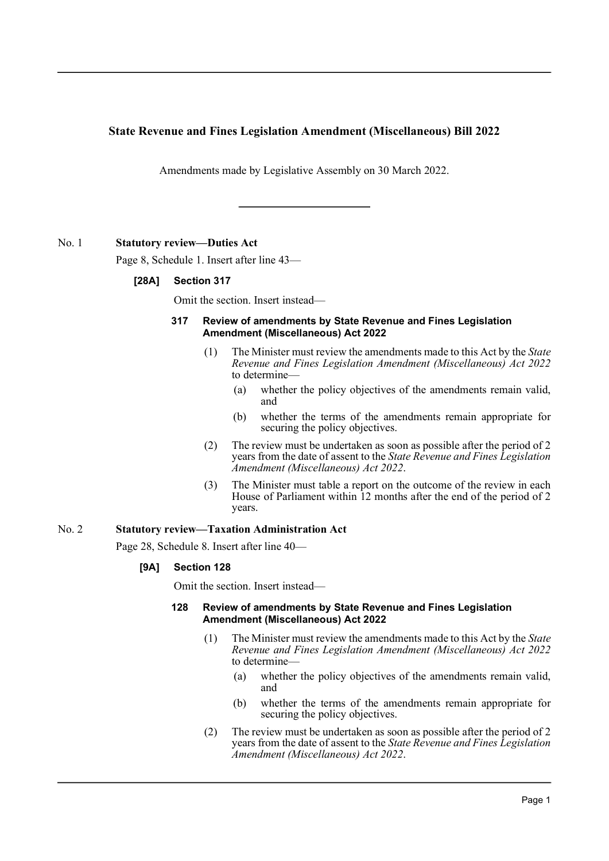# **State Revenue and Fines Legislation Amendment (Miscellaneous) Bill 2022**

Amendments made by Legislative Assembly on 30 March 2022.

## No. 1 **Statutory review—Duties Act**

Page 8, Schedule 1. Insert after line 43—

## **[28A] Section 317**

Omit the section. Insert instead—

### **317 Review of amendments by State Revenue and Fines Legislation Amendment (Miscellaneous) Act 2022**

- (1) The Minister must review the amendments made to this Act by the *State Revenue and Fines Legislation Amendment (Miscellaneous) Act 2022* to determine—
	- (a) whether the policy objectives of the amendments remain valid, and
	- (b) whether the terms of the amendments remain appropriate for securing the policy objectives.
- (2) The review must be undertaken as soon as possible after the period of 2 years from the date of assent to the *State Revenue and Fines Legislation Amendment (Miscellaneous) Act 2022*.
- (3) The Minister must table a report on the outcome of the review in each House of Parliament within 12 months after the end of the period of 2 years.

### No. 2 **Statutory review—Taxation Administration Act**

Page 28, Schedule 8. Insert after line 40—

## **[9A] Section 128**

Omit the section. Insert instead—

### **128 Review of amendments by State Revenue and Fines Legislation Amendment (Miscellaneous) Act 2022**

- (1) The Minister must review the amendments made to this Act by the *State Revenue and Fines Legislation Amendment (Miscellaneous) Act 2022* to determine—
	- (a) whether the policy objectives of the amendments remain valid, and
	- (b) whether the terms of the amendments remain appropriate for securing the policy objectives.
- (2) The review must be undertaken as soon as possible after the period of 2 years from the date of assent to the *State Revenue and Fines Legislation Amendment (Miscellaneous) Act 2022*.